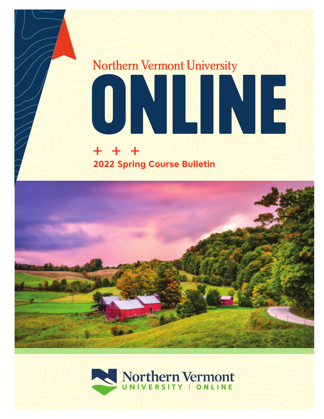# $+$   $+$   $-$ Northern Vermont University **ONLINE 2022 Spring Course Bulletin**



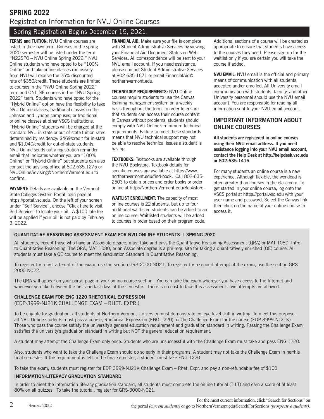# Spring Registration Begins December 15, 2021.

**TERMS and TUITION:** NVU Online courses are listed in their own term. Courses in the spring 2020 semester will be listed under the term "N22SPO – NVU Online Spring 2022." NVU Online students who have opted to be "100% Online" and take online classes exclusively from NVU will receive the 25% discounted rate of \$350/credit. These students are limited to courses in the "NVU Online Spring 2022" term and ONLINE courses in the "NVU Spring 2022" term. Students who have opted for the "Hybrid Online" option have the flexibility to take NVU Online classes, traditional classes on the Johnson and Lyndon campuses, or traditional or online classes at other VSCS institutions. "Hybrid Online" students will be charged at the standard NVU in-state or out-of-state tuition rates determined by residency: \$469/credit for in-state and \$1,040/credit for out-of-state students. NVU Online sends out a registration reminder email that indicates whether you are "100% Online" or "Hybrid Online" but students can also contact the advising office at 802.635.1275 or NVUOnlineAdvising@NorthernVermont.edu to confirm.

**PAYMENT:** Details are available on the Vermont State Colleges System Portal login page at https://portal.vsc.edu. On the left of your screen under "Self Service", choose "Click here to visit Self Service" to locate your bill. A \$100 late fee will be applied if your bill is not paid by February 3, 2022.

**FINANCIAL AID:** Make sure your file is complete with Student Administrative Services by viewing your Financial Aid Document Status on Web Services. All correspondence will be sent to your NVU email account. If you need assistance, please contact Student Administrative Services at 802-635-1671 or email FinancialAid@ northernvermont.edu.

**TECHNOLOGY REQUIREMENTS:** NVU Online courses require students to use the Canvas learning management system on a weekly basis throughout the term. In order to ensure that students can access their course content in Canvas without problems, students should comply with NVU Online's minimum technical requirements. Failure to meet these standards means that NVU technical support may not be able to resolve technical issues a student is having.

**TEXTBOOKS:** Textbooks are available through the NVU Bookstore. Textbook details for specific courses are available at https://www. northernvermont.edu/find-book. Call 802-635- 2503 to obtain prices and order books or order online at http://NorthernVermont.edu/Bookstore.

**WAITLIST ENROLLMENT:** The capacity of most online courses is 22 students, but up to four additional waitlisted students can be added to an online course. Waitlisted students will be added to courses in order based on their program code.

Additional sections of a course will be created as appropriate to ensure that students have access to the courses they need. Please sign up for the waitlist only if you are certain you will take the course if added.

**NVU EMAIL:** NVU email is the official and primary means of communication with all students, accepted and/or enrolled. All University email communication with students, faculty, and other University personnel should use the NVU email account. You are responsible for reading all information sent to your NVU email account.

# **IMPORTANT INFORMATION ABOUT ONLINE COURSES**:

**All students are registered in online courses using their NVU email address. If you need assistance logging into your NVU email account, contact the Help Desk at http://helpdesk.vsc.edu or 802-635-1415.**

For many students an online course is a new experience. Although flexible, the workload is often greater than courses in the classroom. To get started in your online course, log onto the VSCS portal at https://portal.vsc.edu with your user name and password. Select the Canvas link then click on the name of your online course to access it.

# **QUANTITATIVE REASONING ASSESSMENT EXAM FOR NVU ONLINE STUDENTS | SPRING 2020**

All students, except those who have an Associate degree, must take and pass the Quantitative Reasoning Assessment (QRA) or MAT 1080: Intro to Quantitative Reasoning. The QRA, MAT 1080, or an Associate degree is a pre-requisite for taking a quantitatively enriched (QE) course. All students must take a QE course to meet the Graduation Standard in Quantitative Reasoning.

To register for a first attempt of the exam, use the section GRS-2000-NO21. To register for a second attempt of the exam, use the section GRS-2000-NO22.

The QRA will appear on your portal page in your online course section. You can take the exam wherever you have access to the Internet and whenever you like between the first and last days of the semester. There is no cost to take this assessment. Two attempts are allowed.

# **CHALLENGE EXAM FOR ENG 1220 RHETORICAL EXPRESSION**

(EDP-3999-NJ21K CHALLENGE EXAM – RHET. EXPR.)

To be eligible for graduation, all students of Northern Vermont University must demonstrate college-level skill in writing. To meet this purpose, all NVU Online students must pass a course, Rhetorical Expression (ENG 1220), or the Challenge Exam for the course (EDP-3999-NJ21K). Those who pass the course satisfy the university's general education requirement and graduation standard in writing. Passing the Challenge Exam satisfies the university's graduation standard in writing but NOT the general education requirement.

A student may attempt the Challenge Exam only once. Students who are unsuccessful with the Challenge Exam must take and pass ENG 1220.

Also, students who want to take the Challenge Exam should do so early in their programs. A student may not take the Challenge Exam in her/his final semester. If the requirement is left to the final semester, a student must take ENG 1220.

To take the exam, students must register for EDP 3999-NJ21K Challenge Exam – Rhet. Expr. and pay a non-refundable fee of \$100

# **INFORMATION-LITERACY GRADUATION STANDARD**

In order to meet the information-literacy graduation standard, all students must complete the online tutorial (TILT) and earn a score of at least 80% on all quizzes. To take the tutorial, register for GRS-3000-NO21.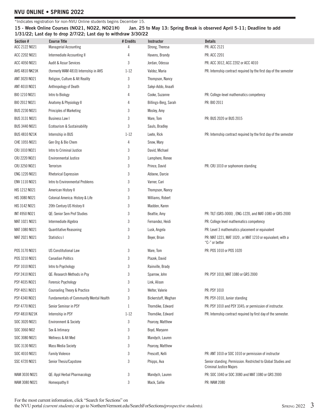\*Indicates registration for non-NVU Online students begins December 15.

**15 - Week Online Courses (NO21, NO22, NO21H) Jan. 25 to May 13: Spring Break is observed April 5-11; Deadline to add 1/31/22; Last day to drop 2/7/22; Last day to withdraw 3/30/22**

| Section #            | <b>Course Title</b>                            | # Credits | Instructor           | <b>Details</b>                                                                                  |
|----------------------|------------------------------------------------|-----------|----------------------|-------------------------------------------------------------------------------------------------|
| ACC 2122 NO21        | <b>Managerial Accounting</b>                   |           | Strong, Theresa      | PR: ACC 2121                                                                                    |
| ACC 2202 NO21        | Intermediate Accounting II                     | 4         | Havens, Brandy       | PR: ACC 2201                                                                                    |
| ACC 4050 NO21        | <b>Audit &amp; Assur Services</b>              | 3         | Jordan, Odessa       | PR: ACC 3012, ACC 2202 or ACC 4010                                                              |
| AHS 4810 NK21K       | (formerly WAM 4810) Internship in AHS          | $1 - 12$  | Valdez, Maria        | PR: Internship contract required by the first day of the semester                               |
| ANT 3020 NO21        | Religion, Culture & Alt Reality                | 3         | Thompson, Nancy      |                                                                                                 |
| ANT 4010 NO21        | Anthropology of Death                          | 3         | Sakyi-Addo, Anaafi   |                                                                                                 |
| BIO 1210 NO21        | Intro to Biology                               | 4         | Cooke, Suzanne       | PR: College-level mathematics competency                                                        |
| BIO 2012 NO21        | Anatomy & Physiology II                        | 4         | Billings-Berg, Sarah | PR: BIO 2011                                                                                    |
| BUS 2230 NO21        | <b>Principles of Marketing</b>                 | 3         | Mosley, Amy          |                                                                                                 |
| BUS 3131 NO21        | <b>Business Law I</b>                          | 3         | Ware, Tom            | PR: BUS 2020 or BUS 2015                                                                        |
| BUS 3440 NO21        | Ecotourism & Sustainability                    | 3         | Sauls, Bradley       |                                                                                                 |
| <b>BUS 4810 N21K</b> | Internship in BUS                              | $1 - 12$  | Leete, Rick          | PR: Internship contract required by the first day of the semester                               |
| CHE 1055 NO21        | Gen Org & Bio Chem                             | 4         | Snow, Mary           |                                                                                                 |
| CRJ 1010 NO21        | Intro to Criminal Justice                      | 3         | David, Michael       |                                                                                                 |
| CRJ 2220 NO21        | <b>Environmental Justice</b>                   | 3         | Lamphere, Renee      |                                                                                                 |
| CRJ 3250 NO21        | Terrorism                                      | 3         | Prince, David        | PR: CRJ 1010 or sophomore standing                                                              |
| ENG 1220 NO21        | Rhetorical Expression                          | 3         | Abbene, Darcie       |                                                                                                 |
| ENV 1110 NO21        | Intro to Environmental Problems                | 3         | Varner, Cari         |                                                                                                 |
| HIS 1212 NO21        | American History II                            | 3         | Thompson, Nancy      |                                                                                                 |
| HIS 3080 NO21        | Colonial America: History & Life               | 3         | Williams, Robert     |                                                                                                 |
| HIS 3142 NO21        | 20th Century US History II                     | 3         | Madden, Karen        |                                                                                                 |
| INT 4950 NO21        | QE: Senior Sem Prof Studies                    | 3         | Beattie, Amy         | PR: TILT (GRS-3000), ENG-1220, and MAT-1080 or GRS-2000                                         |
| MAT 1021 NO21        | Intermediate Algebra                           | 3         | Fernandez, Heidi     | PR: College level mathematics competency                                                        |
| MAT 1080 NO21        | <b>Quantitative Reasoning</b>                  | 3         | Lusk, Angela         | PR: Level 3 mathematics placement or equivalent                                                 |
| MAT 2021 NO21        | Statistics I                                   | 3         | Beyer, Brian         | PR: MAT 1221, MAT 1020, or MAT 1210 or equivalent; with a<br>"C-" or better                     |
| POS 3170 NO21        | <b>US Constitutional Law</b>                   | 3         | Ware, Tom            | PR: POS 1010 or POS 1020                                                                        |
| POS 3210 NO21        | <b>Canadian Politics</b>                       | 3         | Plazek, David        |                                                                                                 |
| PSY 1010 NO21        | Intro to Psychology                            | 3         | Rainville, Brady     |                                                                                                 |
| PSY 2410 NO21        | QE: Research Methods in Psy                    | 3         | Sparrow, John        | PR: PSY 1010, MAT 1080 or GRS 2000                                                              |
| PSY 4035 NO21        | <b>Forensic Psychology</b>                     | 3         | Link, Alison         |                                                                                                 |
| PSY 4051 NO21        | <b>Counseling Theory &amp; Practice</b>        | 3         | Welter, Valerie      | PR: PSY 1010                                                                                    |
| PSY 4340 NO21        | <b>Fundamentals of Community Mental Health</b> | 3         | Bickerstaff, Meghan  | PR: PSY-1010, Junior standing                                                                   |
| PSY 4770 NO21        | Senior Seminar in PSY                          | 1         | Thorndike, Edward    | PR: PSY 1010 and PSY 3345; or permission of instructor.                                         |
| PSY 4810 NJ21K       | Internship in PSY                              | $1 - 12$  | Thorndike, Edward    | PR: Internship contract required by first day of the semester.                                  |
| SOC 3020 NO21        | <b>Environment &amp; Society</b>               | 3         | Pearcey, Matthew     |                                                                                                 |
| SOC 3060 NO2         | Sex & Intimacy                                 | 3         | Boyd, Maryann        |                                                                                                 |
| SOC 3080 NO21        | Wellness & Alt Med                             | 3         | Mandych, Lauren      |                                                                                                 |
| SOC 3130 NO21        | <b>Mass Media Society</b>                      | 3         | Pearcey, Matthew     |                                                                                                 |
| SOC 4010 NO21        | <b>Family Violence</b>                         | 3         | Prescott, Kelli      | PR: ANT 1010 or SOC 1010 or permission of instructor                                            |
| SSC 4720 NO21        | Senior Thesis/Capstone                         | 3         | Phipps, Ava          | Senior standing. Permission. Restricted to Global Studies and<br><b>Criminal Justice Majors</b> |
| WAM 3030 NO21        | QE: Appl Herbal Pharmacology                   | 3         | Mandych, Lauren      | PR: SOC 1040 or SOC 3080 and MAT 1080 or GRS 2000                                               |
| WAM 3080 NO21        | Homeopathy II                                  | 3         | Mack, Sallie         | PR: WAM 2080                                                                                    |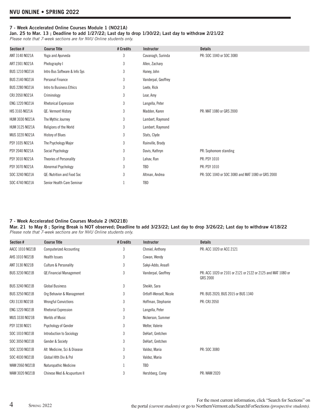### **7 - Week Accelerated Online Courses Module 1 (NO21A)**

**Jan. 25 to Mar. 13 ; Deadline to add 1/27/22; Last day to drop 1/30/22; Last day to withdraw 2/21/22**

*Please note that 7-week sections are for NVU Online students only.*

| Section #             | <b>Course Title</b>           | # Credits | Instructor          | <b>Details</b>                                    |
|-----------------------|-------------------------------|-----------|---------------------|---------------------------------------------------|
| ANT 3140 NO21A        | Yoga and Ayurveda             | 3         | Cavanagh, Surinda   | PR: SOC 1040 or SOC 3080                          |
| ART 2301 NO21A        | Photography I                 | 3         | Allen, Zachary      |                                                   |
| <b>BUS 1210 NO21A</b> | Intro Bus Software & Info Sys | 3         | Haney, John         |                                                   |
| BUS 2140 NO21A        | Personal Finance              | 3         | Vanderpal, Geoffrey |                                                   |
| <b>BUS 2280 NO21A</b> | Intro to Business Ethics      | 3         | Leete, Rick         |                                                   |
| CRJ 2050 NO21A        | Criminology                   | 3         | Lear, Amy           |                                                   |
| ENG 1220 NO21A        | <b>Rhetorical Expression</b>  | 3         | Langella, Peter     |                                                   |
| HIS 3165 NO21A        | QE: Vermont History           | 3         | Madden, Karen       | PR: MAT 1080 or GRS 2000                          |
| HUM 3030 NO21A        | The Mythic Journey            | 3         | Lambert, Raymond    |                                                   |
| HUM 3125 NO21A        | Religions of the World        | 3         | Lambert, Raymond    |                                                   |
| MUS 3220 NO21A        | <b>History of Blues</b>       | 3         | Stats, Clyde        |                                                   |
| PSY 1035 NO21A        | The Psychology Major          | 3         | Rainville, Brady    |                                                   |
| PSY 2040 NO21A        | Social Psychology             | 3         | Davis, Kathryn      | PR: Sophomore standing                            |
| PSY 3010 NO21A        | Theories of Personality       | 3         | Lahav, Ran          | PR: PSY 1010                                      |
| PSY 3070 NO21A        | Abnormal Psychology           | 3         | TBD                 | PR: PSY 1010                                      |
| SOC 3240 NO21A        | QE: Nutrition and Food Soc    | 3         | Altman, Andrea      | PR: SOC 1040 or SOC 3080 and MAT 1080 or GRS 2000 |
| SOC 4740 NO21A        | Senior Health Care Seminar    |           | TBD                 |                                                   |

### **7 - Week Accelerated Online Courses Module 2 (NO21B)**

**Mar. 21 to May 8 ; Spring Break is NOT observed; Deadline to add 3/23/22; Last day to drop 3/26/22; Last day to withdraw 4/18/22** *Please note that 7-week sections are for NVU Online students only.* 

| Section #             | <b>Course Title</b>              | # Credits | Instructor              | <b>Details</b>                                                           |
|-----------------------|----------------------------------|-----------|-------------------------|--------------------------------------------------------------------------|
| AACC 1010 NO21B       | <b>Computerized Accounting</b>   | 3         | Chmiel, Anthony         | PR: ACC 1020 or ACC 2121                                                 |
| AHS 1010 NO21B        | <b>Health Issues</b>             | 3         | Cowan, Wendy            |                                                                          |
| ANT 3130 NO21B        | <b>Culture &amp; Personality</b> | 3         | Sakyi-Addo, Anaafi      |                                                                          |
| <b>BUS 3230 NO21B</b> | <b>QE:Financial Management</b>   | 3         | Vanderpal, Geoffrey     | PR: ACC 1020 or 2101 or 2121 or 2122 or 2125 and MAT 1080 or<br>GRS 2000 |
| <b>BUS 3240 NO21B</b> | <b>Global Business</b>           | 3         | Sheikh, Sara            |                                                                          |
| <b>BUS 3250 NO21B</b> | Org Behavior & Management        | 3         | Ortloff-Wensell, Nicole | PR: BUS 2020, BUS 2015 or BUS 1340                                       |
| CRJ 3130 NO21B        | <b>Wrongful Convictions</b>      | 3         | Hoffman, Stephanie      | PR: CRJ 2050                                                             |
| ENG 1220 NO21B        | <b>Rhetorial Expression</b>      | 3         | Langella, Peter         |                                                                          |
| MUS 3330 NO21B        | Worlds of Music                  | 3         | Nickerson, Summer       |                                                                          |
| PSY 3230 NO21         | Psychology of Gender             | 3         | Welter, Valerie         |                                                                          |
| SOC 1010 NO21B        | Introduction to Sociology        | 3         | DeHart, Gretchen        |                                                                          |
| SOC 3050 NO21B        | Gender & Society                 | 3         | DeHart, Gretchen        |                                                                          |
| SOC 3230 NO21B        | Alt Medicine, Sci & Disease      | 3         | Valdez, Maria           | PR: SOC 3080                                                             |
| SOC 4030 NO21B        | Global Hith Div & Pol            | 3         | Valdez, Maria           |                                                                          |
| WAM 2060 NO21B        | Naturopathic Medicine            |           | TBD                     |                                                                          |
| WAM 3020 NO21B        | Chinese Med & Acupunture II      | 3         | Hershberg, Corey        | PR: WAM 2020                                                             |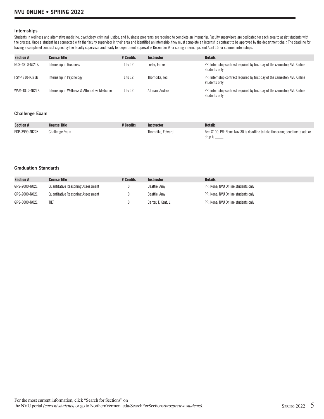### **Internships**

Students in wellness and alternative medicine, psychology, criminal justice, and business programs are required to complete an internship. Faculty supervisors are dedicated for each area to assist students with the process. Once a student has connected with the faculty supervisor in their area and identified an internship, they must complete an internship contract to be approved by the department chair. The deadline for having a completed contract signed by the faculty supervisor and ready for department approval is December 9 for spring internships and April 15 for summer internships.

| Section #      | <b>Course Title</b>                           | # Credits | <b>Instructor</b> | <b>Details</b>                                                                             |
|----------------|-----------------------------------------------|-----------|-------------------|--------------------------------------------------------------------------------------------|
| BUS-4810-NJ21K | Internship in Business                        | l to 12   | Leete. James      | PR: Internship contract required by first day of the semester; NVU Online<br>students only |
| PSY-4810-NJ21K | Internship in Psychology                      | l to 12   | Thorndike, Ted    | PR: Internship contract required by first day of the semester; NVU Online<br>students only |
| WAM-4810-NJ21K | Internship in Wellness & Alternative Medicine | 1 to 12   | Altman, Andrea    | PR: internship contract required by first day of the semester; NVU Online<br>students only |

### **Challenge Exam**

| Section #      | <b>Course Title</b> | # Credits | Instructor        | <b>Details</b>                                                                |
|----------------|---------------------|-----------|-------------------|-------------------------------------------------------------------------------|
| EDP-3999-NJ22K | Challenge Exam      |           | Thorndike, Edward | Fee: \$100: PR: None: Nov 30 is deadline to take the exam: deadline to add or |
|                |                     |           |                   | drop is                                                                       |

### **Graduation Standards**

| Section #     | <b>Course Title</b>                      | # Credits | Instructor         | <b>Details</b>                     |
|---------------|------------------------------------------|-----------|--------------------|------------------------------------|
| GRS-2000-NO21 | <b>Quantitative Reasoning Assessment</b> |           | Beattie, Amy       | PR: None: NVU Online students only |
| GRS-2000-NO21 | <b>Quantitative Reasoning Assessment</b> |           | Beattie, Amv       | PR: None: NVU Online students only |
| GRS-3000-NO21 | tilt                                     |           | Carter, T. Kent, L | PR: None; NVU Online students only |